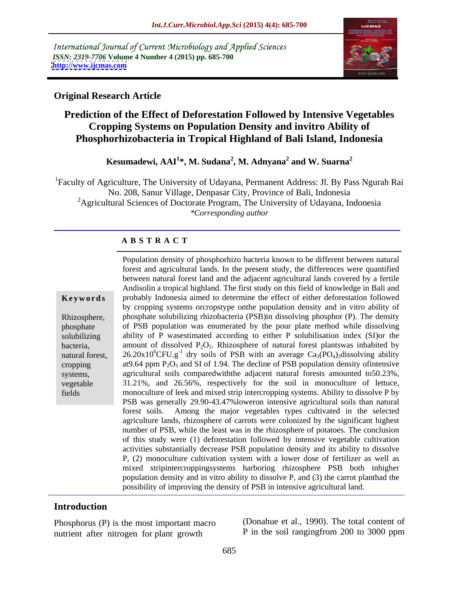International Journal of Current Microbiology and Applied Sciences *ISSN: 2319-7706* **Volume 4 Number 4 (2015) pp. 685-700 <http://www.ijcmas.com>**



#### **Original Research Article**

### **Prediction of the Effect of Deforestation Followed by Intensive Vegetables Cropping Systems on Population Density and invitro Ability of Phosphorhizobacteria in Tropical Highland of Bali Island, Indonesia**

**Kesumadewi, AAI<sup>1</sup> \*, M. Sudana<sup>2</sup> , M. Adnyana<sup>2</sup> and W. Suarna<sup>2</sup>**

<sup>1</sup>Faculty of Agriculture, The University of Udayana, Permanent Address: Jl. By Pass Ngurah Rai No. 208, Sanur Village, Denpasar City, Province of Bali, Indonesia <sup>2</sup>Agricultural Sciences of Doctorate Program, The University of Udayana, Indonesia *\*Corresponding author*

#### **A B S T R A C T**

fields

Population density of phosphorhizo bacteria known to be different between natural forest and agricultural lands. In the present study, the differences were quantified between natural forest land and the adjacent agricultural lands covered by a fertile Andisolin a tropical highland. The first study on this field of knowledge in Bali and probably Indonesia aimed to determine the effect of either deforestation followed **Ke ywo rds** by cropping systems orcropstype onthe population density and in vitro ability of phosphate solubilizing rhizobacteria (PSB)in dissolving phosphor (P). The density Rhizosphere, of PSB population was enumerated by the pour plate method while dissolving phosphate solubilizing ability of P was estimated according to either P solubilisation index (SI) or the bacteria, amount of dissolved  $P_2O_5$ . Rhizosphere of natural forest plantswas inhabited by natural forest,  $26.20 \times 10^{6}$ CFU.g<sup>-1</sup> dry soils of PSB with an average Ca<sub>3</sub>(PO<sub>4</sub>)<sub>2</sub>dissolving ability cropping at 9.64 ppm  $P_2O_5$  and SI of 1.94. The decline of PSB population density of intensive systems, agricultural soils comparedwith the adjacent natural forests amounted to 50.23%, vegetable 31.21%, and 26.56%, respectively for the soil in monoculture of lettuce, monoculture of leek and mixed strip intercropping systems. Ability to dissolve P by PSB was generally 29.90-43.47%loweron intensive agricultural soils than natural forest soils. Among the major vegetables types cultivated in the selected agriculture lands, rhizosphere of carrots were colonized by the significant highest number of PSB, while the least was in the rhizosphere of potatoes. The conclusion of this study were (1) deforestation followed by intensive vegetable cultivation activities substantially decrease PSB population density and its ability to dissolve P, (2) monoculture cultivation system with a lower dose of fertilizer as well as mixed stripintercroppingsystems harboring rhizosphere PSB both inhigher population density and in vitro ability to dissolve P, and (3) the carrot planthad the possibility of improving the density of PSB in intensive agricultural land.

#### **Introduction**

Phosphorus (P) is the most important macro<br>  $P$  in the soil ranging from 200 to 3000 ppm<br>  $P$  in the soil ranging from 200 to 3000 ppm nutrient after nitrogen for plant growth

(Donahue et al., 1990). The total content of P in the soil rangingfrom 200 to 3000 ppm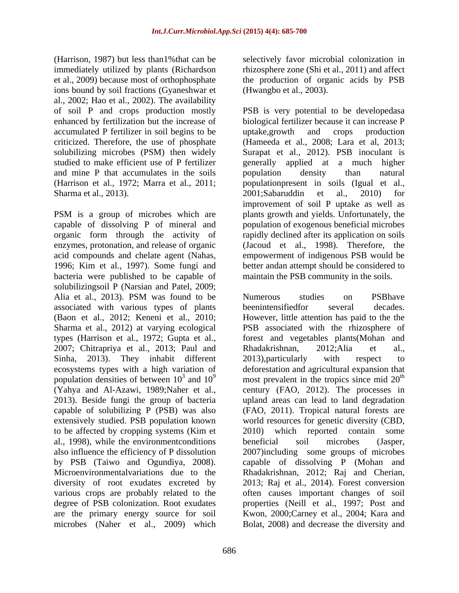(Harrison, 1987) but less than1%that can be immediately utilized by plants (Richardson et al., 2009) because most of orthophosphate the production of organic acids by PSB ions bound by soil fractions (Gyaneshwar et al., 2002; Hao et al., 2002). The availability accumulated P fertilizer in soil begins to be and mine P that accumulates in the soils bopulation density than natural Sharma et al., 2013). 2001;Sabaruddin et al., 2010) for

PSM is a group of microbes which are plants growth and yields. Unfortunately, the capable of dissolving P of mineral and organic form through the activity of rapidly declined after its application on soils enzymes, protonation, and release of organic (Jacoud et al., 1998). Therefore, the acid compounds and chelate agent (Nahas, empowerment of indigenous PSB would be 1996; Kim et al., 1997). Some fungi and better andan attempt should be considered to bacteria were published to be capable of solubilizingsoil P (Narsian and Patel, 2009; associated with various types of plants (Baon et al., 2012; Keneni et al., 2010; 2007; Chitrapriya et al., 2013; Paul and Rhadakrishnan, 2012; Alia et al., Sinha, 2013). They inhabit different 2013), particularly with respect to to be affected by cropping systems (Kim et  $2010$ ) which reported contain some al., 1998), while the environmentconditions beneficial soil microbes (Jasper, are the primary energy source for soil microbes (Naher et al., 2009) which

selectively favor microbial colonization in rhizosphere zone (Shi et al., 2011) and affect (Hwangbo et al., 2003).

of soil P and crops production mostly PSB is very potential to be developedasa enhanced by fertilization but the increase of biological fertilizer because it can increase P criticized. Therefore, the use of phosphate (Hameeda et al., 2008; Lara et al, 2013; solubilizing microbes (PSM) then widely Surapat et al., 2012). PSB inoculant is studied to make efficient use of P fertilizer generally applied at a much higher (Harrison et al., 1972; Marra et al., 2011; populationpresent in soils (Igual et al., uptake,growth and crops production population density than natural 2001;Sabaruddin et al., 2010) for improvement of soil P uptake as well as population of exogenous beneficial microbes maintain the PSB community in the soils.

Alia et al., 2013). PSM was found to be Mumerous studies on PSB have Sharma et al., 2012) at varying ecological PSB associated with the rhizosphere of types (Harrison et al., 1972; Gupta et al., forest and vegetables plants(Mohan and ecosystems types with a high variation of deforestation and agricultural expansion that population densities of between  $10^3$  and  $10^9$  most prevalent in the tropics since mid  $20^{\text{th}}$ (Yahya and Al-Azawi, 1989;Naher et al., century (FAO, 2012). The processes in 2013). Beside fungi the group of bacteria upland areas can lead to land degradation capable of solubilizing P (PSB) was also (FAO, 2011). Tropical natural forests are extensively studied. PSB population known world resources for genetic diversity (CBD, also influence the efficiency of P dissolution 2007)including some groups of microbes by PSB (Taiwo and Ogundiya, 2008). capable of dissolving P (Mohan and Microenvironmentalvariations due to the Rhadakrishnan, 2012; Raj and Cherian, diversity of root exudates excreted by 2013; Raj et al., 2014). Forest conversion various crops are probably related to the often causes important changes of soil degree of PSB colonization. Root exudates properties (Neill et al., 1997; Post and Numerous studies on PSBhave beenintensifiedfor several decades. However, little attention has paid to the the Rhadakrishnan, 2012;Alia et al., 2013),particularly with respect to th 2010) which reported contain some beneficial soil microbes (Jasper, Kwon, 2000;Carney et al., 2004; Kara and Bolat, 2008) and decrease the diversity and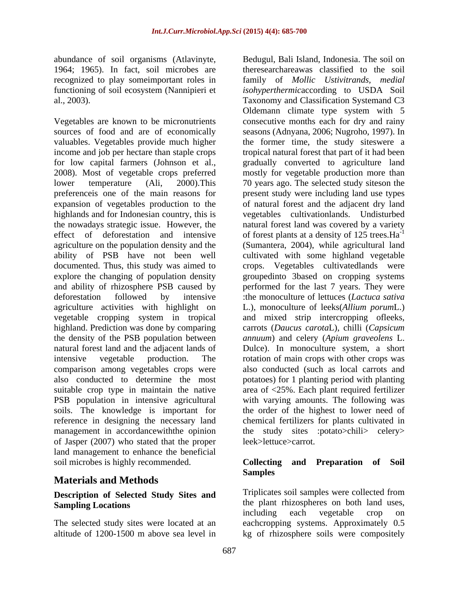abundance of soil organisms (Atlavinyte, 1964; 1965). In fact, soil microbes are recognized to play someimportant roles in

explore the changing of population density comparison among vegetables crops were<br>also conducted to determine the most of Jasper (2007) who stated that the proper land management to enhance the beneficial soil microbes is highly recommended. Collecting and Preparation of Soil

## **Materials and Methods**

## **Description of Selected Study Sites and**

functioning of soil ecosystem (Nannipieri et *isohyperthermic*according to USDA Soil al., 2003). Taxonomy and Classification Systemand C3 Vegetables are known to be micronutrients consecutive months each for dry and rainy sources of food and are of economically seasons (Adnyana, 2006; Nugroho, 1997). In valuables. Vegetables provide much higher the former time, the study siteswere a income and job per hectare than staple crops tropical natural forest that part of it had been for low capital farmers (Johnson et al., gradually converted to agriculture land 2008). Most of vegetable crops preferred mostly for vegetable production more than lower temperature (Ali, 2000).This 70 years ago. The selected study siteson the preferenceis one of the main reasons for present study were including land use types expansion of vegetables production to the of natural forest and the adjacent dry land highlands and for Indonesian country, this is vegetables cultivationlands. Undisturbed the nowadays strategic issue. However, the hatural forest land was covered by a variety effect of deforestation and intensive of forest plants at a density of  $125$  trees. Ha<sup>-1</sup> agriculture on the population density and the (Sumantera, 2004), while agricultural land ability of PSB have not been well cultivated with some highland vegetable documented. Thus, this study was aimed to crops. Vegetables cultivatedlands were and ability of rhizosphere PSB caused by performed for the last 7 years. They were deforestation followed by intensive :the monoculture of lettuces (*Lactuca sativa* agriculture activities with highlight on L.), monoculture of leeks(*Allium porum*L.) vegetable cropping system in tropical and mixed strip intercropping ofleeks, highland. Prediction was done by comparing carrots (*Daucus carota*L), chilli (*Capsicum*  the density of the PSB population between *annuum*) and celery (*Apium graveolens* L. natural forest land and the adjacent lands of Dulce). In monoculture system, a short intensive vegetable production. The rotation of main crops with other crops was also conducted to determine the most potatoes) for 1 planting period with planting suitable crop type in maintain the native  $\alpha$  area of <25%. Each plant required fertilizer PSB population in intensive agricultural with varying amounts. The following was soils. The knowledge is important for the order of the highest to lower need of reference in designing the necessary land chemical fertilizers for plants cultivated in management in accordancewiththe opinion the study sites :potato>chili> celery> Bedugul, Bali Island, Indonesia. The soil on theresearchareawas classified to the soil family of *Mollic Ustivitrands, medial* Oldemann climate type system with 5 -1 groupedinto 3based on cropping systems also conducted (such as local carrots and leek>lettuce>carrot.

#### **Collecting and Preparation of Soil Samples**

**Sampling Locations** The selected study sites were located at an eachcropping systems. Approximately 0.5 altitude of 1200-1500 m above sea level in kg of rhizosphere soils were compositelyTriplicates soil samples were collected from including each vegetable crop on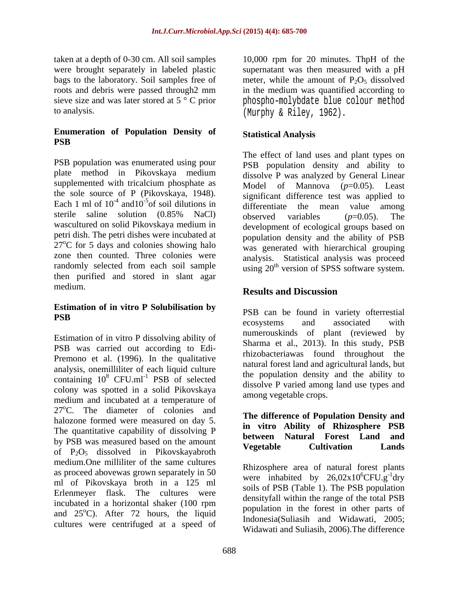taken at a depth of 0-30 cm. All soil samples 10,000 rpm for 20 minutes. ThpH of the were brought separately in labeled plastic supernatant was then measured with a pH bags to the laboratory. Soil samples free of roots and debris were passed through2 mm in the medium was quantified according to sieve size and was later stored at 5 ° C prior phospho-molybdate blue colour method

#### **Enumeration of Population Density of PSB**

PSB population was enumerated using pour plate method in Pikovskaya medium supplemented with tricalcium phosphate as  $\qquad \qquad \text{Model} \qquad \text{of} \qquad \text{Mannova} \qquad (p=0.05)$ . Least the sole source of P (Pikovskaya, 1948). Each 1 ml of  $10^{-4}$  and  $10^{-5}$  of soil dilutions in differentiate the mean value among sterile saline solution  $(0.85\%$  NaCl) observed variables  $(n=0.05)$  The wascultured on solid Pikovskaya medium in petri dish. The petri dishes were incubated at  $27^{\circ}$ C for 5 days and colonies showing halo zone then counted. Three colonies were analysis. Statistical analysis was proceed randomly selected from each soil sample  $\frac{1}{20}$  using  $20^{\text{th}}$  version of SPSS software system. then purified and stored in slant agar medium.<br> **Results and Discussion** 

# **Estimation of in vitro P Solubilisation by**

Estimation of in vitro P dissolving ability of PSB was carried out according to Edi- Premono et al. (1996). In the qualitative analysis, onemilliliter of each liquid culture containing  $10^8$  CFU.ml<sup>-1</sup> PSB of selected colony was spotted in a solid Pikovskaya medium and incubated at a temperature of  $27^{\circ}$ C. The diameter of colonies and halozone formed were measured on day 5. The quantitative capability of dissolving P by PSB was measured based on the amount<br> **Example Security PSB was measured based on the amount**<br> **Example Security PSB was measured based on the amount** of  $P_2O_5$  dissolved in Pikovskayabroth medium.One milliliter of the same cultures as proceed abovewas grown separately in 50 ml of Pikovskaya broth in a 125 ml Erlenmeyer flask. The cultures were incubated in a horizontal shaker (100 rpm and  $25^{\circ}$ C). After 72 hours, the liquid population in the forest in other parts of cultures were centrifuged at a speed of

to analysis. (Murphy & Riley, 1962). meter, while the amount of  $P_2O_5$  dissolved

### **Statistical Analysis**

and  $10^{-5}$  of soil dilutions in differentiate the mean value among  $\frac{5}{2}$  of soil dilutions in the same term interesting that was approved to The effect of land uses and plant types on PSB population density and ability to dissolve P was analyzed by General Linear significant difference test was applied to observed variables (*p*=0.05). The development of ecological groups based on population density and the ability of PSB was generated with hierarchical grouping

### **Results and Discussion**

**PSB** constant and constant and constant and constant and constant and constant and constant and constant and constant and constant and constant and constant and constant and constant and constant and constant and constant  $8 \text{ CFU.ml}^{-1}$  PSB of selected the population density and the ability to PSB can be found in variety ofterrestial ecosystems and associated with numerouskinds of plant (reviewed by Sharma et al., 2013). In this study, PSB rhizobacteriawas found throughout the natural forest land and agricultural lands, but the population density and the ability to dissolve P varied among land use types and among vegetable crops.

#### **The difference of Population Density and in vitro Ability of Rhizosphere PSB between Natural Forest Land and Vegetable Cultivation Lands**

Rhizosphere area of natural forest plants were inhabited by  $26,02x10^6$ CFU.g<sup>-1</sup>drv  ${}^{6}$ CFU.g<sup>-1</sup>dry dry soils of PSB (Table 1). The PSB population densityfall within the range of the total PSB population in the forest in other parts of Indonesia(Suliasih and Widawati, 2005; Widawati and Suliasih, 2006).The difference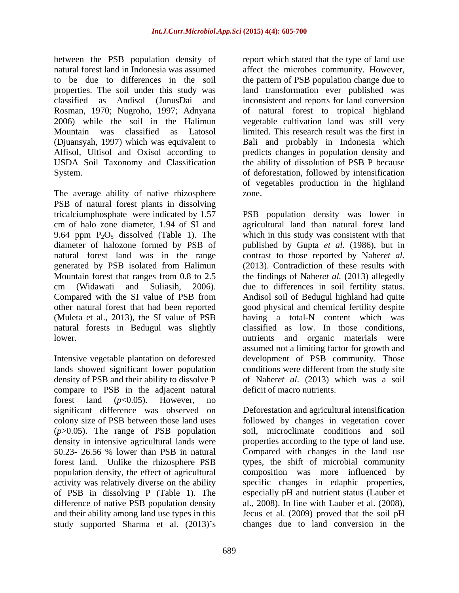The average ability of native rhizosphere zone. PSB of natural forest plants in dissolving natural forest land was in the range contrast to those reported by Naheret al. generated by PSB isolated from Halimun (2013). Contradiction of these results with natural forests in Bedugul was slightly

compare to PSB in the adjacent natural forest land  $(p<0.05)$ . However, no significant difference was observed on (*p*>0.05). The range of PSB population forest land. Unlike the rhizosphere PSB population density, the effect of agricultural<br>activity was relatively diverse on the ability of PSB in dissolving P (Table 1). The study supported Sharma et al. (2013) s changes due to land conversion in the

between the PSB population density of report which stated that the type of land use natural forest land in Indonesia was assumed affect the microbes community. However, to be due to differences in the soil the pattern of PSB population change due to properties. The soil under this study was land transformation ever published was classified as Andisol (JunusDai and inconsistent and reports for land conversion Rosman, 1970; Nugroho, 1997; Adnyana of natural forest to tropical highland 2006) while the soil in the Halimun vegetable cultivation land was still very Mountain was classified as Latosol limited. This research result was the first in (Djuansyah, 1997) which was equivalent to Bali and probably in Indonesia which Alfisol, Ultisol and Oxisol according to predicts changes in population density and USDA Soil Taxonomy and Classification the ability of dissolution of PSB P because System. of deforestation, followed by intensification of vegetables production in the highland zone.

tricalciumphosphate were indicated by 1.57 PSB population density was lower in cm of halo zone diameter, 1.94 of SI and agricultural land than natural forest land 9.64 ppm  $P_2O_5$  dissolved (Table 1). The which in this study was consistent with that diameter of halozone formed by PSB of published by Gupta *et al*. (1986), but in Mountain forest that ranges from 0.8 to 2.5 the findings of Naher*et al.* (2013) allegedly cm (Widawati and Suliasih, 2006). due to differences in soil fertility status. Compared with the SI value of PSB from Andisol soil of Bedugul highland had quite other natural forest that had been reported good physical and chemical fertility despite (Muleta et al., 2013), the SI value of PSB having a total-N content which was lower. nutrients and organic materials were Intensive vegetable plantation on deforested development of PSB community. Those lands showed significant lower population conditions were different from the study site density of PSB and their ability to dissolve P of Naher*et al*. (2013) which was a soil contrast to those reported by Naher*et al*. (2013). Contradiction of these results with classified as low. In those conditions, assumed not a limiting factor for growth and deficit of macro nutrients.

colony size of PSB between those land uses followed by changes in vegetation cover density in intensive agricultural lands were properties according to the type of land use. 50.23- 26.56 % lower than PSB in natural Compared with changes in theland use activity was relatively diverse on the ability specific changes in edaphic properties, difference of native PSB population density al., 2008). In line with Lauber et al. (2008), and their ability among land use types in this Jecus et al. (2009) proved that the soil pH Deforestation and agricultural intensification soil, microclimate conditions and soil types, the shift of microbial community composition was more influenced by especially pH and nutrient status (Lauber et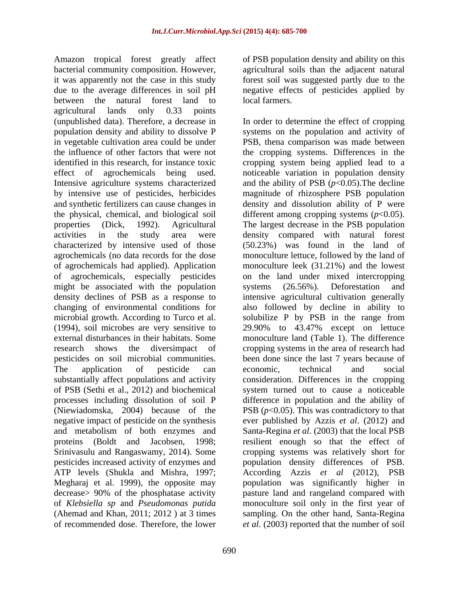Amazon tropical forest greatly affect of PSB population density and ability on this bacterial community composition. However, agricultural soils than the adjacent natural it was apparently not the case in this study due to the average differences in soil pH aregative effects of pesticides applied by between the natural forest land to local farmers. agricultural lands only 0.33 points by intensive use of pesticides, herbicides might be associated with the population systems (26.56%). Deforestation and negative impact of pesticide on the synthesis

forest soil was suggested partly due to the local farmers.

(unpublished data). Therefore, a decrease in In order to determine the effect of cropping population density and ability to dissolveP systems on the population and activity of in vegetable cultivation area could be under PSB, thena comparison was made between the influence of other factors that were not the cropping systems. Differences in the identified in this research, for instance toxic cropping system being applied lead to a effect of agrochemicals being used. noticeable variation in population density Intensive agriculture systems characterized and the ability of PSB (*p*<0.05). The decline and synthetic fertilizers can cause changes in density and dissolution ability of P were the physical, chemical, and biological soil different among cropping systems (*p*<0.05). properties (Dick, 1992). Agricultural The largest decrease in the PSB population activities in the study area were density compared with natural forest characterized by intensive used of those (50.23%) was found in the land of agrochemicals (no data records for the dose monoculture lettuce, followed by the land of of agrochemicals had applied). Application monoculture leek (31.21%) and the lowest of agrochemicals, especially pesticides on the land under mixed intercropping density declines of PSB as a response to intensive agricultural cultivation generally changing of environmental conditions for also followed by decline in ability to microbial growth. According to Turco et al. solubilize P by PSB in the range from (1994), soil microbes are very sensitive to 29.90% to 43.47% except on lettuce external disturbances in their habitats. Some monoculture land (Table 1). The difference research shows the diversimpact of cropping systems in the area of research had pesticides on soil microbial communities. been done since the last 7 years because of The application of pesticide can economic, technical and social substantially affect populations and activity consideration. Differences in the cropping of PSB (Sethi et al., 2012) and biochemical system turned out to cause a noticeable processes including dissolution of soil P difference in population and the ability of (Niewiadomska, 2004) because of the PSB  $(p<0.05)$ . This was contradictory to that and metabolism of both enzymes and Santa-Regina *et al*. (2003) that the local PSB proteins (Boldt and Jacobsen, 1998; resilient enough so that the effect of Srinivasulu and Rangaswamy, 2014). Some cropping systems was relatively short for pesticides increased activity of enzymes and population density differences of PSB. ATP levels (Shukla and Mishra, 1997; According Azzis *et al* (2012), PSB Megharaj et al. 1999), the opposite may bopulation was significantly higher in decrease> 90% of the phosphatase activity pasture land and rangeland compared with of *Klebsiella sp* and *Pseudomonas putida* monoculture soil only in the first year of (Ahemad and Khan, 2011; 2012 ) at 3 times sampling. On the other hand, Santa-Regina of recommended dose. Therefore, the lower *et al*. (2003) reported that the number of soilmagnitude of rhizosphere PSB population systems (26.56%). Deforestation and economic, technical and social ever published by Azzis *et al*. (2012) and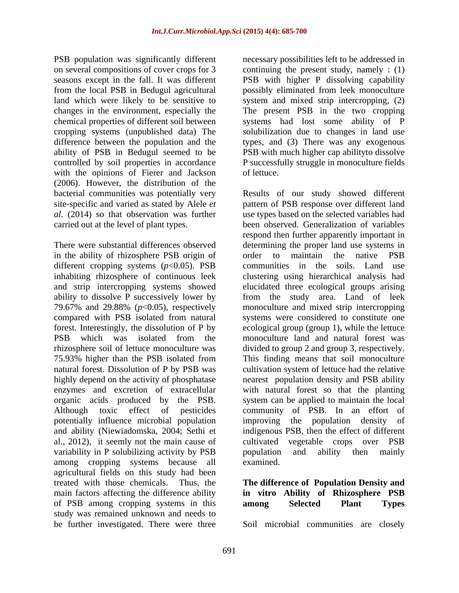with the opinions of Fierer and Jackson (2006). However, the distribution of the

in the ability of rhizosphere PSB origin of order to maintain the native PSB different cropping systems (*p*<0.05). PSB 79.67% and 29.88% (*p*<0.05), respectively potentially influence microbial population and ability (Niewiadomska, 2004; Sethi et al., 2012), it seemly not the main cause of cultivated vegetable crops over PSB variability in P solubilizing activity by PSB by population and ability then mainly among cropping systems because all agricultural fields on this study had been<br>treated with those chemicals. Thus, the treated with those chemicals. Thus, the **The difference of Population Density and** main factors affecting the difference ability of PSB among cropping systems in this among Selected Plant Types study was remained unknown and needs to

PSB population was significantly different necessary possibilities left to be addressed in on several compositions of cover crops for 3 continuing the present study, namely : (1) seasons except in the fall. It was different PSB with higher P dissolving capability from the local PSB in Bedugul agricultural possibly eliminated from leek monoculture land which were likely to be sensitive to system and mixed strip intercropping, (2) changes in the environment, especially the The present PSB in the two cropping chemical properties of different soil between systems had lost some ability of P cropping systems (unpublished data) The solubilization due to changes in land use difference between the population and the types, and (3) There was any exogenous ability of PSB in Bedugul seemed to be PSB with much higher cap abilityto dissolve controlled by soil properties in accordance P successfully struggle in monoculture fields of lettuce.

bacterial communities was potentially very Results of our study showed different site-specific and varied as stated by Alele *et*  pattern of PSB response over different land *al*. (2014) so that observation was further use types based on the selected variables had carried out at the level of plant types. been observed. Generalization of variables There were substantial differences observed determining the proper land use systems in inhabiting rhizosphere of continuous leek clustering using hierarchical analysis had and strip intercropping systems showed elucidated three ecological groups arising ability to dissolve P successively lower by from the study area. Land of leek compared with PSB isolated from natural systems were considered to constitute one forest. Interestingly, the dissolution of P by ecologicalgroup (group 1), while the lettuce PSB which was isolated from the monoculture land and natural forest was rhizosphere soil of lettuce monoculture was divided to group 2 and group 3, respectively. 75.93% higher than the PSB isolated from This finding means that soil monoculture natural forest. Dissolution of P by PSB was cultivation system of lettuce had the relative highly depend on the activity of phosphatase nearest population density and PSB ability enzymes and excretion of extracellular with natural forest so that the planting organic acids produced by the PSB. system can be applied to maintain the local Although toxic effect of pesticides community of PSB. In an effort of respond then further apparently important in order to maintain the native PSB communities in the soils. Land use monoculture and mixed strip intercropping improving the population density indigenous PSB, then the effect of different cultivated vegetable crops over PSB population and ability then mainly examined.

> **in vitro Ability of Rhizosphere PSB among Selected Plant Types**

be further investigated. There were three Soil microbial communities are closely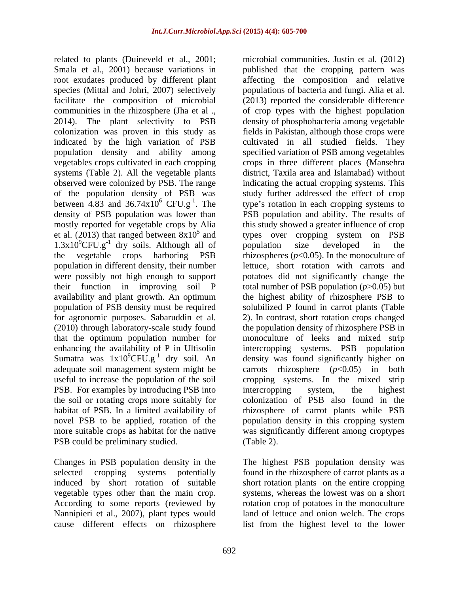related to plants (Duineveld et al., 2001; microbial communities. Justin et al. (2012) Smala et al., 2001) because variations in indicated by the high variation of PSB systems (Table 2). All the vegetable plants of the population density of PSB was<br>between 4.83 and  $36.74 \times 10^6$  CFU.g<sup>-1</sup>. The population of PSB density must be required PSB. For examples by introducing PSB into intercropping system, the highest the soil or rotating crops more suitably for novel PSB to be applied, rotation of the population density in this cropping system PSB could be preliminary studied. (Table 2).

Changes in PSB population density in the The highest PSB population density was selected cropping systems potentially found in the rhizosphere of carrot plants as a induced by short rotation of suitable short rotation plants on the entire cropping vegetable types other than the main crop. systems, whereas the lowest was on a short According to some reports (reviewed by rotation crop of potatoes in the monoculture Nannipieri et al., 2007), plant types would

root exudates produced by different plant affecting the composition and relative species (Mittal and Johri, 2007) selectively populations of bacteria and fungi. Alia et al. facilitate the composition of microbial (2013) reported the considerable difference communities in the rhizosphere (Jha et al., of crop types with the highest population 2014). The plant selectivity to PSB density of phosphobacteria among vegetable colonization was proven in this study as fields in Pakistan, although those crops were population density and ability among specified variation of PSB among vegetables vegetables crops cultivated in each cropping crops in three different places (Mansehra observed were colonized by PSB. The range indicating the actual cropping systems. This between 4.83 and 36.74 $x10^6$  CFU.g<sup>-1</sup>. The type's rotation in each cropping systems to density of PSB population was lower than PSB population and ability. The results of mostly reported for vegetable crops by Alia this study showed a greater influence of crop et al. (2013) that ranged between  $8x10^5$  and types over cropping system on PSB  $1.3x10<sup>9</sup>CFU.g<sup>-1</sup>$  dry soils. Although all of population size developed in the the vegetable crops harboring  $PSB$  rhizospheres  $(p<0.05)$ . In the monoculture of population in different density, their number lettuce, short rotation with carrots and were possibly not high enough to support potatoes did not significantly change the their function in improving soil P total number of PSB population (*p*>0.05) but availability and plant growth. An optimum the highest ability of rhizosphere PSB to for agronomic purposes. Sabaruddin et al. 2). In contrast, short rotation crops changed (2010) through laboratory-scale study found the population density of rhizosphere PSB in that the optimum population number for monoculture of leeks and mixed strip enhancing the availability of P in Ultisolin intercropping systems. PSB population Sumatra was  $1x10^9$ CFU.g<sup>-1</sup> dry soil. An density was found significantly higher on adequate soil management system might be carrots rhizosphere (*p*<0.05) in both useful to increase the population of the soil cropping systems. In the mixed strip habitat of PSB. In a limited availability of rhizosphere of carrot plants while PSB more suitable crops as habitat for the native was significantly different among croptypes published that the cropping pattern was cultivated in all studied fields. They district, Taxila area and Islamabad) without study further addressed the effect of crop population size developed in the solubilized P found in carrot plants (Table intercropping system, the highest colonization of PSB also found in the population density in this cropping system (Table 2).

cause different effects on rhizosphere list from the highest level to the lowerland of lettuce and onion welch. The crops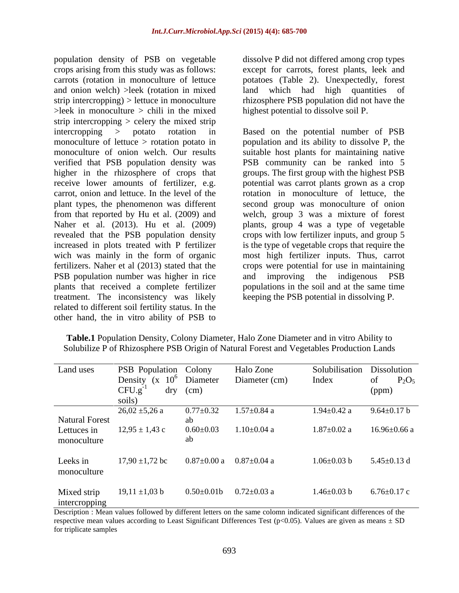population density of PSB on vegetable crops arising from this study was as follows: except for carrots, forest plants, leek and carrots (rotation in monoculture of lettuce potatoes (Table 2). Unexpectedly, forest and onion welch) >leek (rotation in mixed land which had high quantities of strip intercropping) > lettuce in monoculture  $>$ leek in monoculture  $>$  chili in the mixed strip intercropping  $>$  celery the mixed strip plant types, the phenomenon was different increased in plots treated with P fertilizer PSB population number was higher in rice and improving the indigenous PSB plants that received a complete fertilizer treatment. The inconsistency was likely related to different soil fertility status. In the other hand, the in vitro ability of PSB to

dissolve P did not differed among crop types land which had high quantities rhizosphere PSB population did not have the highest potential to dissolve soil P.

intercropping > potato rotation in Based on the potential number of PSB monoculture of lettuce > rotation potato in population and its ability to dissolve P, the monoculture of onion welch. Our results suitable host plants for maintaining native verified that PSB population density was PSB community can be ranked into 5 higher in the rhizosphere of crops that groups. The first group with the highest PSB receive lower amounts of fertilizer, e.g. potential was carrot plants grown as a crop carrot, onion and lettuce. In the level of the rotation in monoculture of lettuce, the from that reported by Hu et al. (2009) and welch, group 3 was a mixture of forest Naher et al. (2013). Hu et al. (2009) plants, group 4 was a type of vegetable revealed that the PSB population density crops with low fertilizer inputs, and group 5 wich was mainly in the form of organic mosthigh fertilizer inputs. Thus, carrot fertilizers. Naher et al (2013) stated that the crops were potential for use in maintaining second group was monoculture of onion is the type of vegetable crops that require the and improving the indigenous PSB populations in the soil and at the same time keeping the PSB potential in dissolving P.

| Land uses             | PSB Population Colony      |                   | Halo Zone                       | Solubilisation Dissolution |                    |
|-----------------------|----------------------------|-------------------|---------------------------------|----------------------------|--------------------|
|                       | Density (x $10^6$ Diameter |                   | Diameter (cm)                   | Index                      | $P_2O_5$<br>of     |
|                       | CFU.g <sup>-</sup>         | dry (cm)          |                                 |                            | (ppm)              |
|                       | soils)                     |                   |                                 |                            |                    |
|                       | $26,02 \pm 5,26$ a         | $0.77 \pm 0.32$   | $1.57 \pm 0.84$ a               | $1.94 \pm 0.42$ a          | $9.64 \pm 0.17$ b  |
| <b>Natural Forest</b> |                            | ab                |                                 |                            |                    |
| Lettuces in           | $12,95 \pm 1,43$ c         | $0.60 \pm 0.03$   | $1.10 \pm 0.04$ a               | $1.87 \pm 0.02$ a          | $16.96 \pm 0.66$ a |
| monoculture           |                            | ab                |                                 |                            |                    |
|                       |                            |                   |                                 |                            |                    |
| Leeks in              | $17,90 \pm 1,72$ bc        |                   | $0.87\pm0.00$ a $0.87\pm0.04$ a | $1.06 \pm 0.03$ b          | $5.45 \pm 0.13$ d  |
| monoculture           |                            |                   |                                 |                            |                    |
|                       |                            |                   |                                 |                            |                    |
| Mixed strip           | $19,11 \pm 1,03$ b         | $0.50 \pm 0.01$ b | $0.72 \pm 0.03$ a               | $1.46 \pm 0.03$ b          | $6.76 \pm 0.17$ c  |
| intercropping         |                            |                   |                                 |                            |                    |
|                       |                            |                   |                                 |                            |                    |

**Table.1** Population Density, Colony Diameter, Halo Zone Diameter and in vitro Ability to Solubilize P of Rhizosphere PSB Origin of Natural Forest and Vegetables Production Lands

Description : Mean values followed by different letters on the same colomn indicated significant differences of the respective mean values according to Least Significant Differences Test (p<0.05). Values are given as means  $\pm$  SD for triplicate samples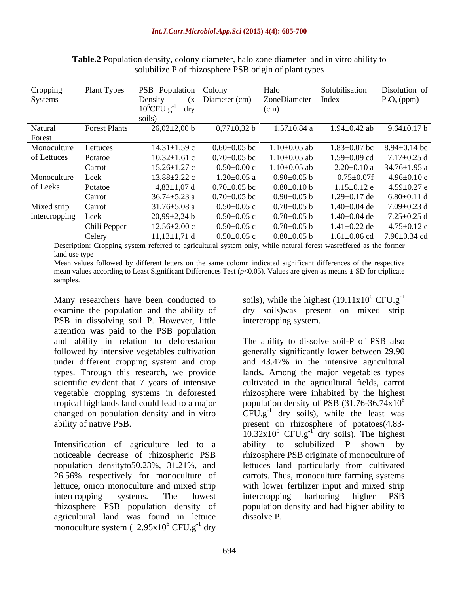| Cropping         | Plant Types          | PSB Population Colony          |                    | Halo               | Solubilisation     | Disolution of                     |
|------------------|----------------------|--------------------------------|--------------------|--------------------|--------------------|-----------------------------------|
| Systems          |                      | Density                        | (x Diameter (cm)   | ZoneDiameter Index |                    | $P_2O_5$ (ppm)                    |
|                  |                      | $10^6$ CFU.g <sup>-1</sup> dry |                    | (cm)               |                    |                                   |
|                  |                      | soils)                         |                    |                    |                    |                                   |
| Natural          | <b>Forest Plants</b> | $26,02\pm2,00$ b               | $0,77\pm0,32$ b    | $1,57 \pm 0.84$ a  | $1.94 \pm 0.42$ ab | $9.64 \pm 0.17$ b                 |
| Forest           |                      |                                |                    |                    |                    |                                   |
| Monoculture      | Lettuces             | $14,31\pm1,59$ c               | $0.60 \pm 0.05$ bc | $1.10\pm0.05$ ab   | $1.83 \pm 0.07$ bc | $8.94 \pm 0.14$ bc                |
| of Lettuces      | Potatoe              | $10,32\pm1,61$ c               | $0.70 \pm 0.05$ bc | $1.10\pm0.05$ ab   | 1.59±0.09 cd       | $7.17 \pm 0.25$ d                 |
|                  | Carrot               | $15,26\pm1,27$ c               | $0.50 \pm 0.00$ c  | $1.10\pm0.05$ ab   |                    | $2.20\pm0.10$ a 34.76 $\pm1.95$ a |
| Monoculture Leek |                      | $13,88\pm2,22$ c               | $1.20 \pm 0.05$ a  | $0.90 \pm 0.05$ b  | $0.75{\pm}0.07$ f  | $4.96 \pm 0.10$ e                 |
| of Leeks         | Potatoe              | $4,83\pm1,07$ d                | $0.70 \pm 0.05$ bc | $0.80 \pm 0.10$ b  | $1.15 \pm 0.12$ e  | $4.59 \pm 0.27$ e                 |
|                  | Carrot               | $36,74\pm5,23$ a               | $0.70 \pm 0.05$ bc | $0.90 \pm 0.05$ b  | .29±0.17 de        | $6.80\pm0.11$ d                   |
| Mixed strip      | Carrot               | $31,76 \pm 5,08$ a             | $0.50 \pm 0.05$ c  | $0.70 \pm 0.05$ b  | $1.40 \pm 0.04$ de | $7.09 \pm 0.23$ d                 |
| intercropping    | Leek                 | $20,99\pm2,24$ b               | $0.50 \pm 0.05$ c  | $0.70 \pm 0.05$ b  | $1.40 \pm 0.04$ de | $7.25 \pm 0.25$ d                 |
|                  | Chili Pepper         | $12,56 \pm 2,00$ c             | $0.50 \pm 0.05$ c  | $0.70 \pm 0.05$ b  | $1.41 \pm 0.22$ de | $4.75 \pm 0.12$ e                 |
|                  | Celery               | $11,13\pm1,71$ d               | $0.50 \pm 0.05$ c  | $0.80 \pm 0.05$ b  | $1.61 \pm 0.06$ cd | 7.96±0.34 cd                      |

**Table.2** Population density, colony diameter, halo zone diameter and in vitro ability to solubilize P of rhizosphere PSB origin of plant types

Description: Cropping system referred to agricultural system only, while natural forest wasreffered as the former land use type

Mean values followed by different letters on the same colomn indicated significant differences of the respective mean values according to Least Significant Differences Test  $(p<0.05)$ . Values are given as means  $\pm$  SD for triplicate samples. The contract of the contract of the contract of the contract of the contract of the contract of the contract of the contract of the contract of the contract of the contract of the contract of the contract of the c

Many researchers have been conducted to examine the population and the ability of dry soils)was present on mixed strip PSB in dissolving soil P. However, little attention was paid to the PSB population and ability in relation to deforestation The ability to dissolve soil-P of PSB also followed by intensive vegetables cultivation generally significantly lower between 29.90 under different cropping system and crop and 43.47% in the intensive agricultural types. Through this research, we provide lands. Among the major vegetables types scientific evident that 7 years of intensive vegetable cropping systems in deforested rhizosphere were inhabited by the highest tropical highlands land could lead to a major population density of PSB  $(31.76-36.74 \times 10^{6}$ changed on population density and in vitro  $CFU.g^{-1}$  dry soils), while the least was

Intensification of agriculture led to a ability to solubilized P shown by noticeable decrease of rhizospheric PSB agricultural land was found in lettuce monoculture system  $(12.95x10^6$  CFU.g<sup>-1</sup> dry  $6$  CFU.g<sup>-1</sup> dry  $-1$  dry dry

soils), while the highest  $(19.11x10^6$  CFU.g<sup>-1</sup>  $^6$  CFU.g<sup>-1</sup> -1 intercropping system.

ability of native PSB. present on rhizosphere of potatoes(4.83 population densityto50.23%, 31.21%, and lettuces land particularly from cultivated 26.56% respectively for monoculture of carrots. Thus, monoculture farming systems lettuce, onion monoculture and mixed strip with lower fertilizer input and mixed strip intercropping systems. The lowest rhizosphere PSB population density of population density and had higher ability to cultivated in the agricultural fields, carrot  $10.32 \times 10^5$  CFU.g<sup>-1</sup> dry soils). The highest ability to solubilized P shown by rhizosphere PSB originate of monoculture of intercropping harboring higher PSB dissolve P.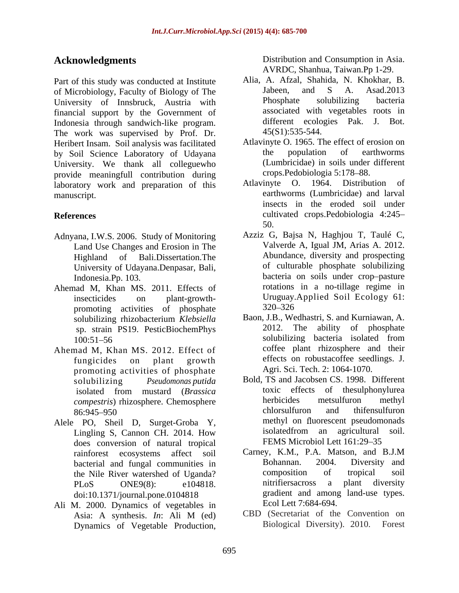Part of this study was conducted at Institute Alia, A. Atzal, Shahida, N. Khokhar, B.<br>
of Microbiology Faculty of Biology of The Jabeen. and S. A. Asad.2013 of Microbiology, Faculty of Biology of The 5 and S A. Asad.2013<br>
University of Innsbruck Austria with Phosphate solubilizing bacteria University of Innsbruck, Austria with financial support by the Government of associated with vegetables roots in Indonesia through sandwich-like program different ecologies Pak. J. Bot. Indonesia through sandwich-like program. different ecolo<br>The work was supervised by Prof. Dr. 45(S1):535-544. The work was supervised by Prof. Dr. Heribert Insam. Soil analysis was facilitated Atlavinyte O. 1965. The effect of erosion on<br>hy Soil Science Laboratory of Hdavana the population of earthworms by Soil Science Laboratory of Udayana University. We thank all colleguewho provide meaningfull contribution during crops. Pedobiologia 5:178–88.<br>
laboratory work and preparation of this Atlavinyte O 1964 Distribution of laboratory work and preparation of this manuscript. earthworms (Lumbricidae) and larval **Now Represents**<br>
Device and Consumption and Consumption in Asia. Applied and Fig. A And Albrid, N. Khochar, B.<br>
activelying the more production in the properties of this consumer of the more production in the more product

- Adnyana, I.W.S. 2006. Study of Monitoring Land Use Changes and Erosion in The University of Udayana.Denpasar, Bali,
- Ahemad M, Khan MS. 2011. Effects of promoting activities of phosphate 320–326 sp. strain PS19. PesticBiochemPhys
- Ahemad M, Khan MS. 2012. Effect of promoting activities of phosphate
- does conversion of natural tropical<br>rainforest ecosystems affect soil Carney, K.M., P.A. Matson, and B.J.M doi:10.1371/journal.pone.0104818
- Ali M. 2000. Dynamics of vegetables in<br>Asia: A synthesis. *In*: Ali M (ed)

**Acknowledgments** Distribution and Consumption in Asia.<br>AVRDC, Shanhua, Taiwan.Pp 1-29.

- Alia, A. Afzal, Shahida, N. Khokhar, B. Jabeen, and S A. Asad.2013 Phosphate solubilizing bacteria associated with vegetables roots in different ecologies Pak. J. Bot.<br>45(S1):535-544.
- Atlavinyte O. 1965. The effect of erosion on the population of earthworms (Lumbricidae) in soils under different crops.Pedobiologia 5:178-88.
- **References** cultivated crops.Pedobiologia 4:245 Atlavinyte O. 1964. Distribution insects in the eroded soil under 50.
	- Highland of Bali.Dissertation.The Abundance, diversity and prospecting Indonesia.Pp. 103. bacteria on soils under crop-pasture insecticides on plant-growth- Uruguay.Applied Soil Ecology 61: Azziz G, Bajsa N, Haghjou T, Taulé C, Valverde A, Igual JM, Arias A. 2012. of culturable phosphate solubilizing rotations in a no-tillage regime in 320 326
	- solubilizing rhizobacterium *Klebsiella* 100:51–56 solubilizing bacteria isolated from fungicides on plant growth effects on robustacoffee seedlings. J. Baon, J.B., Wedhastri, S. and Kurniawan, A. 2012. The ability of phosphate solubilizing bacteria isolated from coffee plant rhizosphere and their Agri. Sci. Tech. 2: 1064-1070.
- solubilizing *Pseudomonas putida* Bold, TS and Jacobsen CS. 1998. Different isolated from mustard (*Brassica compestris*) rhizosphere. Chemosphere **herbicides** metsulfuron methyl<br>R6:945-950 **chlorsulfuron** and thifensulfuron 86:945–950 chlorsulfuron and thitensulfuron Alele PO, Sheil D, Surget-Groba Y, methyl on fluorescent pseudomonads<br>Lingling S, Cannon CH. 2014. How isolated from an agricultural soil. Lingling S, Cannon CH. 2014. How isolated from an agricultural soil. toxic effects of thesulphonylurea herbicides metsulfuron methyl chlorsulfuron and thifensulfuron methyl on fluorescent pseudomonads isolatedfrom an agricultural soil. FEMS Microbiol Lett 161:29-35
	- rainforest ecosystems affect soil Carney, K.M., P.A. Matson, and B.J.M<br>hacterial and fungal communities in Bohannan. 2004. Diversity and bacterial and fungal communities in Bohannan. 2004. Diversity and the Nile River watershed of Hoanda? composition of tropical soil the Nile River watershed of Uganda?<br>
	PL<sub>O</sub>S ONE9(8): e104818 mitrifiers across a plant diversity PLoS ONE9(8): e104818. mitrifiers across a plant diversity Carney, K.M., P.A. Matson, and B.J.M Bohannan. 2004. Diversity and composition of tropical soil nitrifiersacross a plant diversity gradient and among land-use types. Ecol Lett 7:684-694.
	- Asia: A synthesis. *In*: Ali M (ed) CBD (Secretariat of the Convention on Biological Diversity). 2010. Forest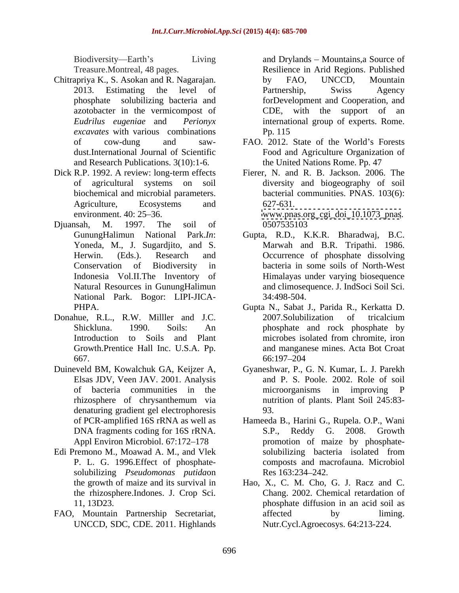- Chitrapriya K., S. Asokan and R. Nagarajan. azotobacter in the vermicompost of CDE, with the support of an *excavates* with various combinations Pp. 115 and Research Publications. 3(10):1-6.
- Dick R.P. 1992. A review: long-term effects environment. 40: 25–36. [www.pnas.org\\_cgi\\_doi\\_10.1073\\_pnas](http://www.pnas.org_cgi_doi_10.1073_pnas).
- Djuansah, M. 1997. The soil of Yoneda, M., J. Sugardjito, and S. National Park. Bogor: LIPI-JICA-
- Donahue, R.L., R.W. Milller and J.C. 2007. Solubilization of tricalcium Growth.Prentice Hall Inc. U.S.A. Pp.
- Elsas JDV, Veen JAV. 2001. Analysis denaturing gradient gel electrophoresis
- Edi Premono M., Moawad A. M., and Vlek P. L. G. 1996.Effect of phosphate solubilizing *Pseudomonas putida*on
- FAO, Mountain Partnership Secretariat, affected by liming. UNCCD, SDC, CDE. 2011. Highlands

Biodiversity—Earth's Living and Drylands – Mountains, a Source of Treasure.Montreal, 48 pages. Resilience in Arid Regions. Published 2013. Estimating the level of Partnership, Swiss Agency phosphate solubilizing bacteria and forDevelopment and Cooperation, and *Eudrilus eugeniae* and *Perionyx* international group of experts. Rome. by FAO, UNCCD, Mountain Partnership, Swiss Agency with the support of Pp. 115

- of cow-dung and saw- FAO. 2012. State of the World's Forests dust.International Journal of Scientific Food and Agriculture Organization of the United Nations Rome. Pp. 47
- of agricultural systems on soil diversity and biogeography of soil biochemical and microbial parameters. bacterial communities. PNAS. 103(6): Agriculture, Ecosystems and 627-631. Fierer, N. and R. B. Jackson. 2006. The 627-631.

0507535103

- GunungHalimun National Park.*In*: Gupta, R.D., K.K.R. Bharadwaj, B.C. Herwin. (Eds.). Research and Occurrence of phosphate dissolving Conservation of Biodiversity in bacteria in some soils of North-West Indonesia Vol.II.The Inventory of Himalayas under varying biosequence Natural Resources in GunungHalimun and climosequence. J. IndSoci Soil Sci. Marwah and B.R. Tripathi. 1986. 34:498-504.
- PHPA. Gupta N., Sabat J., Parida R., Kerkatta D. Shickluna. 1990. Soils: An phosphate and rock phosphate by Introduction to Soils and Plant microbes isolated from chromite, iron 667. 66.197-204 2007.Solubilization of tricalcium microbes isolated from chromite, iron and manganese mines. Acta Bot Croat 66:197 204
- Duineveld BM, Kowalchuk GA, Keijzer A, Gyaneshwar, P., G. N. Kumar, L. J. Parekh of bacteria communities in the microorganisms in improving P rhizosphere of chrysanthemum via and P. S. Poole. 2002. Role of soil nutrition of plants. Plant Soil 245:83- 93.
	- of PCR-amplified 16S rRNA as well as Hameeda B., Harini G., Rupela. O.P., Wani DNA fragments coding for 16S rRNA. S.P., Reddy G. 2008. Growth Appl Environ Microbiol. 67:172–178 **promotion** of maize by phosphate-S.P., Reddy G. 2008. Growth solubilizing bacteria isolated from composts and macrofauna. Microbiol Res 163:234–242.
	- the growth of maize and its survival in Hao, X., C. M. Cho, G. J. Racz and C. the rhizosphere.Indones. J. Crop Sci. Chang. 2002. Chemical retardation of 11, 13D23. phosphate diffusion in an acid soil as affected by liming. Nutr.Cycl.Agroecosys. 64:213-224.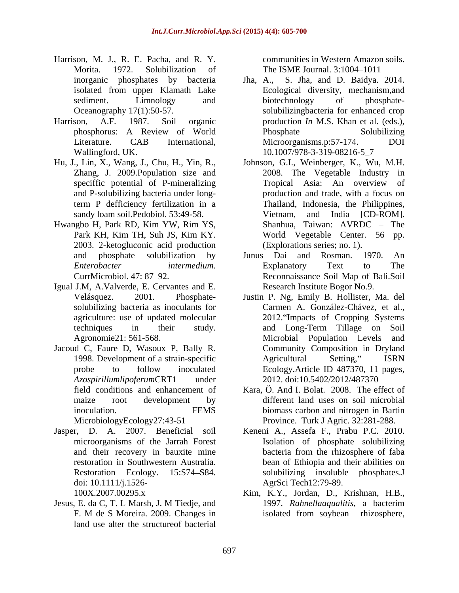- Harrison, M. J., R. E. Pacha, and R. Y. Morita. 1972. Solubilization of The ISME Journal. 3:1004–1011 inorganic phosphates by bacteria Jha, A.,
- 
- Hu, J., Lin, X., Wang, J., Chu, H., Yin, R., sandy loam soil. Pedobiol. 53:49-58. Vietnam,
- Hwangbo H, Park RD, Kim YW, Rim YS, 2003. 2-ketogluconic acid production
- Igual J.M, A.Valverde, E. Cervantes and E.
- Jacoud C, Faure D, Wasoux P, Bally R.
- doi: 10.1111/j.1526-
- Jesus, E. da C, T. L Marsh, J. M Tiedje, and 1997. Rahnellaaqualitis, a bacterim land use alter the structureof bacterial

communities in Western Amazon soils.

- isolated from upper Klamath Lake Ecological diversity, mechanism,and sediment. Limnology and biotechnology of phosphate-Oceanography 17(1):50-57. solubilizingbacteria for enhanced crop Harrison, A.F. 1987. Soil organic production *In* M.S. Khan et al. (eds.), phosphorus: A Review of World Literature. CAB International, Microorganisms.p:57-174. DOI Wallingford, UK. 10.1007/978-3-319-08216-5\_7 S. Jha, and D. Baidya. 2014. biotechnology of phosphate- Phosphate Solubilizing Microorganisms.p:57-174. DOI
	- Zhang, J. 2009.Population size and 2008. The Vegetable Industry in speciffic potential of P-mineralizing Tropical Asia: An overview of and P-solubilizing bacteria under long-production and trade, with a focus on term P defficiency fertilization in a Thailand, Indonesia, the Philippines, Park KH, Kim TH, Suh JS, Kim KY. Johnson, G.I., Weinberger, K., Wu, M.H. Tropical Asia: An overview of and India [CD-ROM]. Shanhua, Taiwan: AVRDC – The World Vegetable Center. 56 pp. (Explorations series; no. 1).
	- and phosphate solubilization by *Enterobacter intermedium*. Explanatory Text to The CurrMicrobiol. 47: 87–92. <br>CurrMicrobiol. 47: 87–92. **Reconnaissance Soil Map of Bali.Soil** Junus Dai and Rosman. 1970. An Explanatory Text to The Reconnaissance Soil Map of Bali.Soil Research Institute Bogor No.9.
	- Velásquez. 2001. Phosphate- Justin P. Ng, Emily B. Hollister, Ma. del solubilizing bacteria as inoculants for Carmen A. González-Chávez, et al., agriculture: use of updated molecular 2012. Impacts of Cropping Systems techniques in their study. and Long-Term Tillage on Soil Agronomie21: 561-568. Microbial Population Levels and 1998. Development of a strain-specific probe to follow inoculated Ecology.Article ID 487370, 11 pages, *Azospirillumlipoferum*CRT1 under 2012. doi:10.5402/2012/487370 Community Composition in Dryland Agricultural Setting," ISRN
	- field conditions and enhancement of Kara, Ö. And I. Bolat. 2008. The effect of maize root development by different land uses on soil microbial inoculation. FEMS biomass carbon and nitrogen in Bartin MicrobiologyEcology27:43-51 Province. Turk J Agric. 32:281-288.
- Jasper, D. A. 2007. Beneficial soil Keneni A., Assefa F., Prabu P.C. 2010. microorganisms of the Jarrah Forest Isolation of phosphate solubilizing and their recovery in bauxite mine bacteria from the rhizosphere of faba restoration in Southwestern Australia. bean of Ethiopia and their abilities on Restoration Ecology. 15:S74 S84. solubilizing insoluble phosphates.J AgrSci Tech12:79-89.
	- 100X.2007.00295.x Kim, K.Y., Jordan, D., Krishnan, H.B., F. M de S Moreira. 2009. Changes in 1997. *Rahnellaaqualitis*, a bacterim isolated from soybean rhizosphere,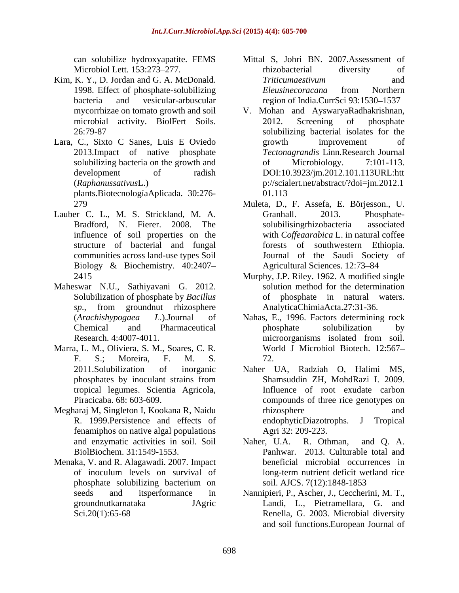- Kim, K. Y., D. Jordan and G. A. McDonald. Triticumaestivum and and
- Lara, C., Sixto C Sanes, Luis E Oviedo plants.BiotecnologíaAplicada. 30:276-
- Lauber C. L., M. S. Strickland, M. A. Granhall. 2013. Phosphatestructure of bacterial and fungal Biology & Biochemistry. 40:2407
- Maheswar N.U., Sathiyavani G. 2012.
- Marra, L. M., Oliviera, S. M., Soares, C. R.
- Megharaj M, Singleton I, Kookana R, Naidu fenamiphos on native algal populations
- Menaka, V. and R. Alagawadi. 2007. Impact
- can solubilize hydroxyapatite. FEMS Mittal S, Johri BN. 2007.Assessment of Microbiol Lett. 153:273–277. Thizobacterial diversity of 1998. Effect of phosphate-solubilizing *Eleusinecoracana* from Northern bacteria and vesicular-arbuscular region of India.CurrSci 93:1530–1537 rhizobacterial diversity of *Triticumaestivum* and *Eleusinecoracana* from Northern
- mycorrhizae on tomato growth and soil V. Mohan and AyswaryaRadhakrishnan, microbial activity. BiolFert Soils. 2012. Screening of phosphate 26:79-87 solubilizing bacterial isolates for the 2013.Impact of native phosphate *Tectonagrandis* Linn.Research Journal solubilizing bacteria on the growth and  $\qquad \qquad$  of Microbiology. 7:101-113. development of radish DOI:10.3923/jm.2012.101.113URL:htt (*Raphanussativus*L.) p://scialert.net/abstract/?doi=jm.2012.1 2012. Screening of phosphate growth improvement of of Microbiology. 7:101-113. 01.113
- 279 Muleta, D., F. Assefa, E. Börjesson., U. Bradford, N. Fierer. 2008. The influence of soil properties on the with *Coffeaarabica* L. in natural coffee communities across land-use types Soil Journal of the Saudi Society of Granhall. 2013. Phosphate solubilisingrhizobacteria associated forests of southwestern Ethiopia. Agricultural Sciences. 12:73-84
- 2415 Murphy, J.P. Riley. 1962. A modified single Solubilization of phosphate by *Bacillus*  of phosphate in natural waters. *sp*., from groundnut rhizosphere solution method for the determination AnalyticaChimiaActa.27:31-36.
- (*Arachishypogaea L*.).Journal of Nahas, E., 1996. Factors determining rock Chemical and Pharmaceutical Research. 4:4007-4011. The microorganisms isolated from soil. F. S.; Moreira, F. M. S. phosphate solubilization by microorganisms isolated from soil. World J Microbiol Biotech. 12:567 72.
- 2011.Solubilization of inorganic Naher UA, Radziah O, Halimi MS, phosphates by inoculant strains from Shamsuddin ZH, MohdRazi I. 2009. tropical legumes. Scientia Agricola, Piracicaba. 68: 603-609. R. 1999. Persistence and effects of endophyticDiazotrophs. J Tropical Shamsuddin ZH, MohdRazi I. 2009. Influence of root exudate carbon compounds of three rice genotypes on rhizosphere and and endophyticDiazotrophs. Agri 32: 209-223.
- and enzymatic activities in soil. Soil Naher, U.A. R. Othman, and O. A. BiolBiochem. 31:1549-1553. Panhwar. 2013. Culturable total and of inoculum levels on survival of long-term nutrient deficit wetland rice phosphate solubilizing bacterium on soil. AJCS. 7(12):1848-1853 Naher, U.A. R. Othman, and Q. A. beneficial microbial occurrences in soil. AJCS. 7(12):1848-1853
- seeds and itsperformance in Nannipieri, P., Ascher, J., Ceccherini, M. T., groundnutkarnataka JAgric Landi, L., Pietramellara, G. and Sci.20(1):65-68 Renella, G. 2003. Microbial diversity and soil functions.European Journal of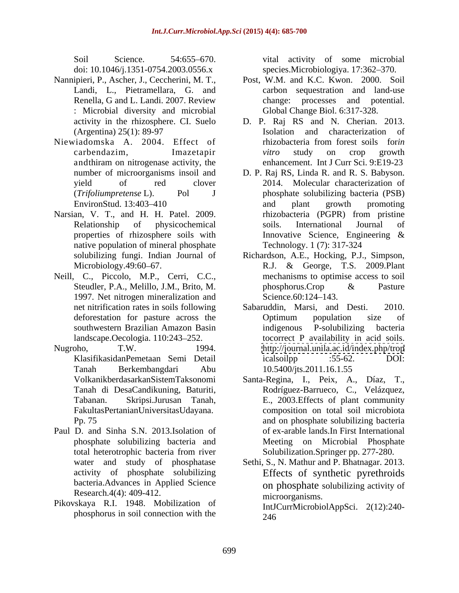doi: 10.1046/j.1351-0754.2003.0556.x

- Nannipieri, P., Ascher, J., Ceccherini, M. T., Renella, G and L. Landi. 2007. Review change: : Microbial diversity and microbial
- Niewiadomska A. 2004. Effect of andthiram on nitrogenase activity, the
- Narsian, V. T., and H. H. Patel. 2009. hizobacteria (PGPR) from pristine native population of mineral phosphate
- Neill, C., Piccolo, M.P., Cerri, C.C., 1997. Net nitrogen mineralization and Science.60:124–143.
- 
- Paul D. and Sinha S.N. 2013.Isolation of bacteria.Advances in Applied Science Research.4(4): 409-412.
- Pikovskaya R.I. 1948. Mobilization of phosphorus in soil connection with the

Soil Science. 54:655–670. vital activity of some microbial species.Microbiologiya. 17:362–370.

- Landi, L., Pietramellara, G. and carbon sequestration and land-use Post, W.M. and K.C. Kwon. 2000. Soil processes and potential. Global Change Biol. 6:317-328.
- activity in the rhizosphere. CI. Suelo D. P. Raj RS and N. Cherian. 2013. (Argentina) 25(1): 89-97 carbendazim, Imazetapir *vitro* study on crop growth Isolation and characterization of rhizobacteria from forest soils for*in vitro* study on crop growth enhancement. Int J Curr Sci. 9:E19-23
- number of microorganisms insoil and D. P. Raj RS, Linda R. and R. S. Babyson. yield of red clover 2014. Molecular characterization of (*Trifoliumpretense* L). Pol J phosphate solubilizing bacteria (PSB) EnvironStud. 13:403–410 **and** plant growth promoting Relationship of physicochemical soils. International Journal of properties of rhizosphere soils with Innovative Science, Engineering & and plant growth promoting rhizobacteria (PGPR) from pristine soils. International Journal of Innovative Science, Engineering & Technology. 1 (7): 317-324
- solubilizing fungi. Indian Journal of Richardson, A.E., Hocking, P.J., Simpson, Microbiology.49:60 67. R.J. & George, T.S. 2009.Plant Steudler, P.A., Melillo, J.M., Brito, M. bhosphorus.Crop & Pasture mechanisms to optimise access to soil phosphorus.Crop & Pasture Science.60:124–143.
- net nitrification rates in soils following Sabaruddin, Marsi, and Desti. 2010. deforestation for pasture across the Coptimum population size of southwestern Brazilian Amazon Basin indigenous P-solubilizing bacteria landscape.Oecologia. 110:243–252. tocorrect P availability in acid soils. Nugroho, T.W. 1994. <http://journal.unila.ac.id/index.php/trop> KlasifikasidanPemetaan Semi Detail Tanah Berkembangdari Abu Sabaruddin, Marsi, and Desti. Optimum population size of indigenous P-solubilizing bacteria icalsoilpp :55-62. DOI: 10.5400/jts.2011.16.1.55
	- VolkanikberdasarkanSistemTaksonomi Santa-Regina, I., Peix, A., Díaz, T., Tanah di DesaCandikuning, Baturiti, Rodríguez-Barrueco, C., Velázquez, Tabanan. Skripsi.Jurusan Tanah, E., 2003.Effects of plant community FakultasPertanianUniversitasUdayana. composition on total soil microbiota Pp. 75 and on phosphate solubilizing bacteria phosphate solubilizing bacteria and Meeting on Microbial Phosphate total heterotrophic bacteria from river of ex-arable lands.In First International Solubilization.Springer pp. 277-280.
	- water and study of phosphatase Sethi, S., N. Mathur and P. Bhatnagar. 2013. activity of phosphate solubilizing Effects of synthetic pyrethroids on phosphate solubilizing activity of microorganisms. IntJCurrMicrobiolAppSci. 2(12):240- 246